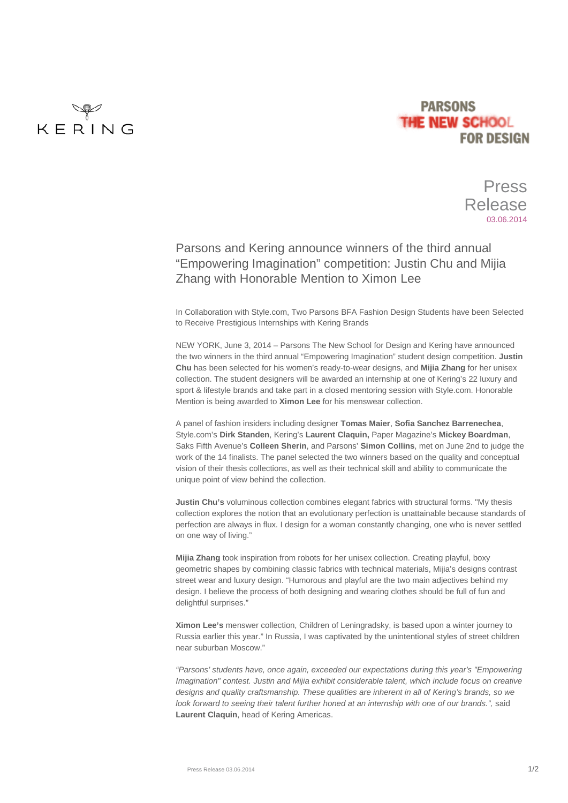

## **PARSONS THE NEW SCHOOL FOR DESIGN**

Press Release 03.06.2014

## Parsons and Kering announce winners of the third annual "Empowering Imagination" competition: Justin Chu and Mijia Zhang with Honorable Mention to Ximon Lee

In Collaboration with Style.com, Two Parsons BFA Fashion Design Students have been Selected to Receive Prestigious Internships with Kering Brands

NEW YORK, June 3, 2014 – Parsons The New School for Design and Kering have announced the two winners in the third annual "Empowering Imagination" student design competition. **Justin Chu** has been selected for his women's ready-to-wear designs, and **Mijia Zhang** for her unisex collection. The student designers will be awarded an internship at one of Kering's 22 luxury and sport & lifestyle brands and take part in a closed mentoring session with Style.com. Honorable Mention is being awarded to **Ximon Lee** for his menswear collection.

A panel of fashion insiders including designer **Tomas Maier**, **Sofia Sanchez Barrenechea**, Style.com's **Dirk Standen**, Kering's **Laurent Claquin,** Paper Magazine's **Mickey Boardman**, Saks Fifth Avenue's **Colleen Sherin**, and Parsons' **Simon Collins**, met on June 2nd to judge the work of the 14 finalists. The panel selected the two winners based on the quality and conceptual vision of their thesis collections, as well as their technical skill and ability to communicate the unique point of view behind the collection.

**Justin Chu's** voluminous collection combines elegant fabrics with structural forms. "My thesis collection explores the notion that an evolutionary perfection is unattainable because standards of perfection are always in flux. I design for a woman constantly changing, one who is never settled on one way of living."

**Mijia Zhang** took inspiration from robots for her unisex collection. Creating playful, boxy geometric shapes by combining classic fabrics with technical materials, Mijia's designs contrast street wear and luxury design. "Humorous and playful are the two main adjectives behind my design. I believe the process of both designing and wearing clothes should be full of fun and delightful surprises."

**Ximon Lee's** menswer collection, Children of Leningradsky, is based upon a winter journey to Russia earlier this year." In Russia, I was captivated by the unintentional styles of street children near suburban Moscow."

*"Parsons' students have, once again, exceeded our expectations during this year's "Empowering Imagination" contest. Justin and Mijia exhibit considerable talent, which include focus on creative designs and quality craftsmanship. These qualities are inherent in all of Kering's brands, so we look forward to seeing their talent further honed at an internship with one of our brands.",* said **Laurent Claquin**, head of Kering Americas.